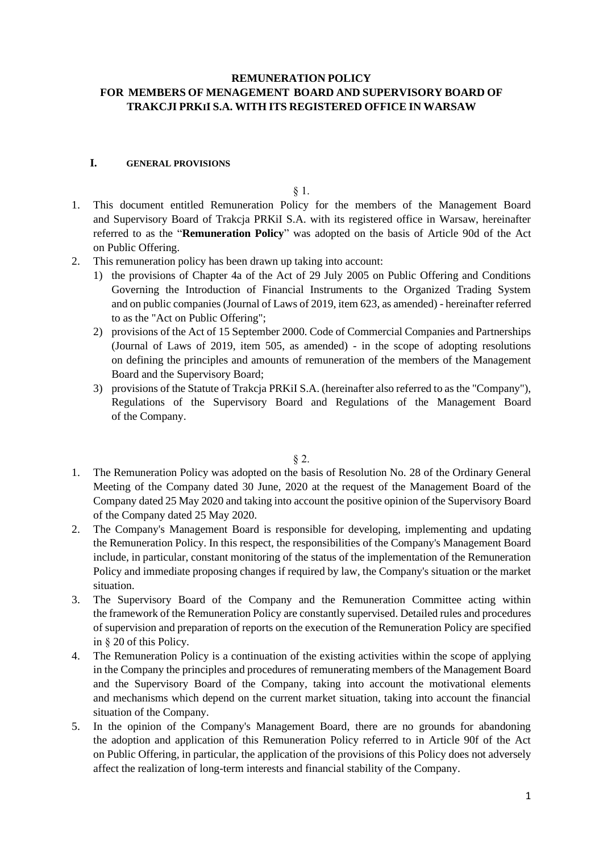# **REMUNERATION POLICY FOR MEMBERS OF MENAGEMENT BOARD AND SUPERVISORY BOARD OF TRAKCJI PRKII S.A. WITH ITS REGISTERED OFFICE IN WARSAW**

# **I. GENERAL PROVISIONS**

§ 1.

- 1. This document entitled Remuneration Policy for the members of the Management Board and Supervisory Board of Trakcja PRKiI S.A. with its registered office in Warsaw, hereinafter referred to as the "**Remuneration Policy**" was adopted on the basis of Article 90d of the Act on Public Offering.
- 2. This remuneration policy has been drawn up taking into account:
	- 1) the provisions of Chapter 4a of the Act of 29 July 2005 on Public Offering and Conditions Governing the Introduction of Financial Instruments to the Organized Trading System and on public companies (Journal of Laws of 2019, item 623, as amended) - hereinafter referred to as the "Act on Public Offering";
	- 2) provisions of the Act of 15 September 2000. Code of Commercial Companies and Partnerships (Journal of Laws of 2019, item 505, as amended) - in the scope of adopting resolutions on defining the principles and amounts of remuneration of the members of the Management Board and the Supervisory Board;
	- 3) provisions of the Statute of Trakcja PRKiI S.A. (hereinafter also referred to as the "Company"), Regulations of the Supervisory Board and Regulations of the Management Board of the Company.

§ 2.

- 1. The Remuneration Policy was adopted on the basis of Resolution No. 28 of the Ordinary General Meeting of the Company dated 30 June, 2020 at the request of the Management Board of the Company dated 25 May 2020 and taking into account the positive opinion of the Supervisory Board of the Company dated 25 May 2020.
- 2. The Company's Management Board is responsible for developing, implementing and updating the Remuneration Policy. In this respect, the responsibilities of the Company's Management Board include, in particular, constant monitoring of the status of the implementation of the Remuneration Policy and immediate proposing changes if required by law, the Company's situation or the market situation.
- 3. The Supervisory Board of the Company and the Remuneration Committee acting within the framework of the Remuneration Policy are constantly supervised. Detailed rules and procedures of supervision and preparation of reports on the execution of the Remuneration Policy are specified in § 20 of this Policy.
- 4. The Remuneration Policy is a continuation of the existing activities within the scope of applying in the Company the principles and procedures of remunerating members of the Management Board and the Supervisory Board of the Company, taking into account the motivational elements and mechanisms which depend on the current market situation, taking into account the financial situation of the Company.
- 5. In the opinion of the Company's Management Board, there are no grounds for abandoning the adoption and application of this Remuneration Policy referred to in Article 90f of the Act on Public Offering, in particular, the application of the provisions of this Policy does not adversely affect the realization of long-term interests and financial stability of the Company.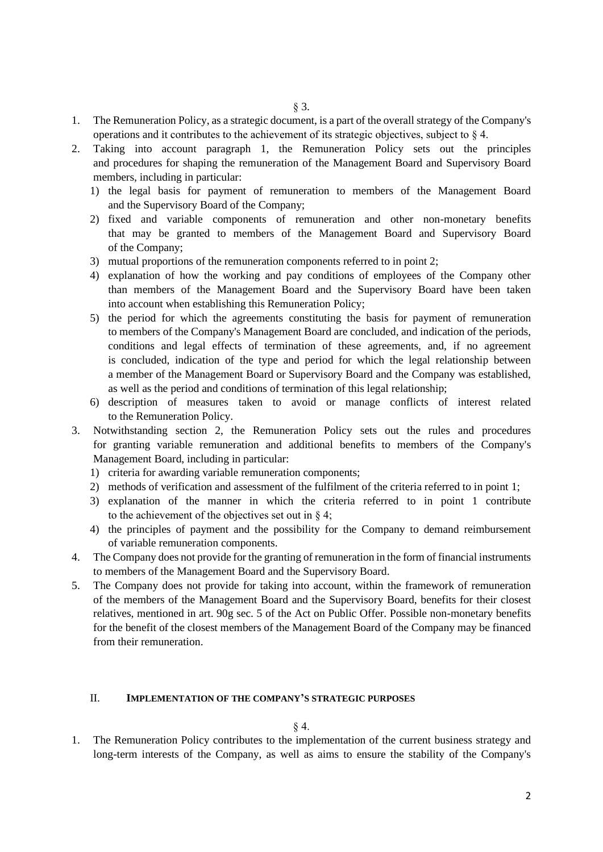- 1. The Remuneration Policy, as a strategic document, is a part of the overall strategy of the Company's operations and it contributes to the achievement of its strategic objectives, subject to § 4.
- 2. Taking into account paragraph 1, the Remuneration Policy sets out the principles and procedures for shaping the remuneration of the Management Board and Supervisory Board members, including in particular:
	- 1) the legal basis for payment of remuneration to members of the Management Board and the Supervisory Board of the Company;
	- 2) fixed and variable components of remuneration and other non-monetary benefits that may be granted to members of the Management Board and Supervisory Board of the Company;
	- 3) mutual proportions of the remuneration components referred to in point 2;
	- 4) explanation of how the working and pay conditions of employees of the Company other than members of the Management Board and the Supervisory Board have been taken into account when establishing this Remuneration Policy;
	- 5) the period for which the agreements constituting the basis for payment of remuneration to members of the Company's Management Board are concluded, and indication of the periods, conditions and legal effects of termination of these agreements, and, if no agreement is concluded, indication of the type and period for which the legal relationship between a member of the Management Board or Supervisory Board and the Company was established, as well as the period and conditions of termination of this legal relationship;
	- 6) description of measures taken to avoid or manage conflicts of interest related to the Remuneration Policy.
- 3. Notwithstanding section 2, the Remuneration Policy sets out the rules and procedures for granting variable remuneration and additional benefits to members of the Company's Management Board, including in particular:
	- 1) criteria for awarding variable remuneration components;
	- 2) methods of verification and assessment of the fulfilment of the criteria referred to in point 1;
	- 3) explanation of the manner in which the criteria referred to in point 1 contribute to the achievement of the objectives set out in § 4;
	- 4) the principles of payment and the possibility for the Company to demand reimbursement of variable remuneration components.
- 4. The Company does not provide for the granting of remuneration in the form of financial instruments to members of the Management Board and the Supervisory Board.
- 5. The Company does not provide for taking into account, within the framework of remuneration of the members of the Management Board and the Supervisory Board, benefits for their closest relatives, mentioned in art. 90g sec. 5 of the Act on Public Offer. Possible non-monetary benefits for the benefit of the closest members of the Management Board of the Company may be financed from their remuneration.

# II. **IMPLEMENTATION OF THE COMPANY'S STRATEGIC PURPOSES**

# § 4.

1. The Remuneration Policy contributes to the implementation of the current business strategy and long-term interests of the Company, as well as aims to ensure the stability of the Company's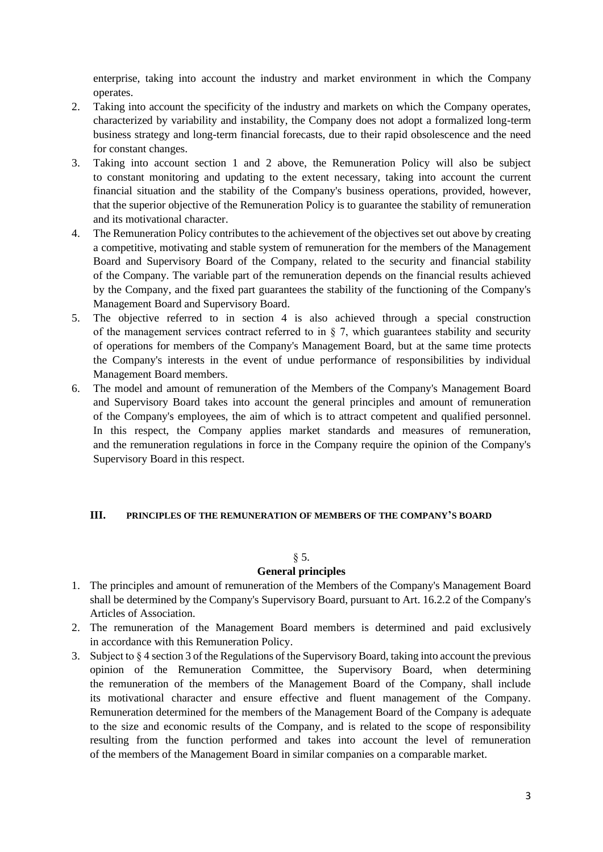enterprise, taking into account the industry and market environment in which the Company operates.

- 2. Taking into account the specificity of the industry and markets on which the Company operates, characterized by variability and instability, the Company does not adopt a formalized long-term business strategy and long-term financial forecasts, due to their rapid obsolescence and the need for constant changes.
- 3. Taking into account section 1 and 2 above, the Remuneration Policy will also be subject to constant monitoring and updating to the extent necessary, taking into account the current financial situation and the stability of the Company's business operations, provided, however, that the superior objective of the Remuneration Policy is to guarantee the stability of remuneration and its motivational character.
- 4. The Remuneration Policy contributes to the achievement of the objectives set out above by creating a competitive, motivating and stable system of remuneration for the members of the Management Board and Supervisory Board of the Company, related to the security and financial stability of the Company. The variable part of the remuneration depends on the financial results achieved by the Company, and the fixed part guarantees the stability of the functioning of the Company's Management Board and Supervisory Board.
- 5. The objective referred to in section 4 is also achieved through a special construction of the management services contract referred to in  $\S$  7, which guarantees stability and security of operations for members of the Company's Management Board, but at the same time protects the Company's interests in the event of undue performance of responsibilities by individual Management Board members.
- 6. The model and amount of remuneration of the Members of the Company's Management Board and Supervisory Board takes into account the general principles and amount of remuneration of the Company's employees, the aim of which is to attract competent and qualified personnel. In this respect, the Company applies market standards and measures of remuneration, and the remuneration regulations in force in the Company require the opinion of the Company's Supervisory Board in this respect.

# **III. PRINCIPLES OF THE REMUNERATION OF MEMBERS OF THE COMPANY'S BOARD**

# $§ 5.$

# **General principles**

- 1. The principles and amount of remuneration of the Members of the Company's Management Board shall be determined by the Company's Supervisory Board, pursuant to Art. 16.2.2 of the Company's Articles of Association.
- 2. The remuneration of the Management Board members is determined and paid exclusively in accordance with this Remuneration Policy.
- 3. Subject to § 4 section 3 of the Regulations of the Supervisory Board, taking into account the previous opinion of the Remuneration Committee, the Supervisory Board, when determining the remuneration of the members of the Management Board of the Company, shall include its motivational character and ensure effective and fluent management of the Company. Remuneration determined for the members of the Management Board of the Company is adequate to the size and economic results of the Company, and is related to the scope of responsibility resulting from the function performed and takes into account the level of remuneration of the members of the Management Board in similar companies on a comparable market.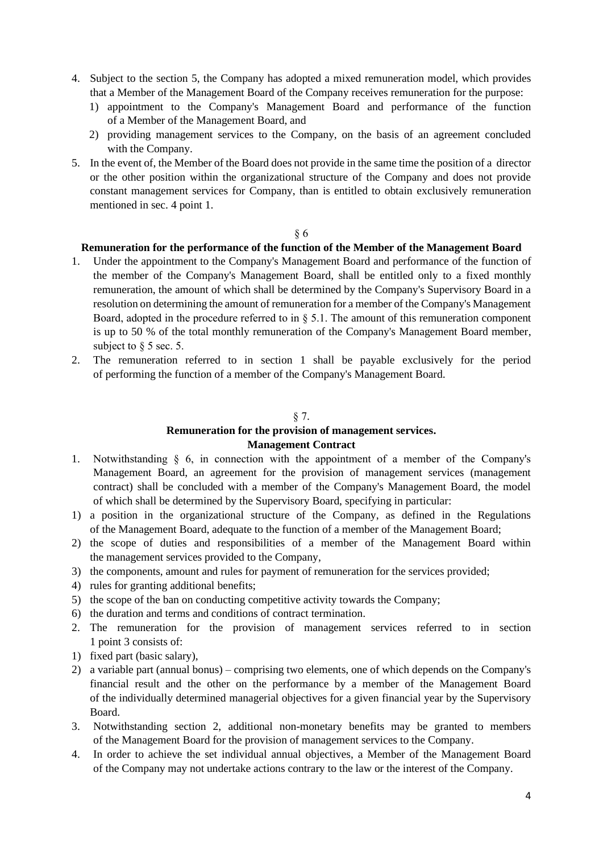- 4. Subject to the section 5, the Company has adopted a mixed remuneration model, which provides that a Member of the Management Board of the Company receives remuneration for the purpose:
	- 1) appointment to the Company's Management Board and performance of the function of a Member of the Management Board, and
	- 2) providing management services to the Company, on the basis of an agreement concluded with the Company.
- 5. In the event of, the Member of the Board does not provide in the same time the position of a director or the other position within the organizational structure of the Company and does not provide constant management services for Company, than is entitled to obtain exclusively remuneration mentioned in sec. 4 point 1.

### § 6

# **Remuneration for the performance of the function of the Member of the Management Board**

- 1. Under the appointment to the Company's Management Board and performance of the function of the member of the Company's Management Board, shall be entitled only to a fixed monthly remuneration, the amount of which shall be determined by the Company's Supervisory Board in a resolution on determining the amount of remuneration for a member of the Company's Management Board, adopted in the procedure referred to in  $\S$  5.1. The amount of this remuneration component is up to 50 % of the total monthly remuneration of the Company's Management Board member, subject to  $\delta$  5 sec. 5.
- 2. The remuneration referred to in section 1 shall be payable exclusively for the period of performing the function of a member of the Company's Management Board.

## § 7.

# **Remuneration for the provision of management services. Management Contract**

- 1. Notwithstanding § 6, in connection with the appointment of a member of the Company's Management Board, an agreement for the provision of management services (management contract) shall be concluded with a member of the Company's Management Board, the model of which shall be determined by the Supervisory Board, specifying in particular:
- 1) a position in the organizational structure of the Company, as defined in the Regulations of the Management Board, adequate to the function of a member of the Management Board;
- 2) the scope of duties and responsibilities of a member of the Management Board within the management services provided to the Company,
- 3) the components, amount and rules for payment of remuneration for the services provided;
- 4) rules for granting additional benefits;
- 5) the scope of the ban on conducting competitive activity towards the Company;
- 6) the duration and terms and conditions of contract termination.
- 2. The remuneration for the provision of management services referred to in section 1 point 3 consists of:
- 1) fixed part (basic salary),
- 2) a variable part (annual bonus) comprising two elements, one of which depends on the Company's financial result and the other on the performance by a member of the Management Board of the individually determined managerial objectives for a given financial year by the Supervisory Board.
- 3. Notwithstanding section 2, additional non-monetary benefits may be granted to members of the Management Board for the provision of management services to the Company.
- 4. In order to achieve the set individual annual objectives, a Member of the Management Board of the Company may not undertake actions contrary to the law or the interest of the Company.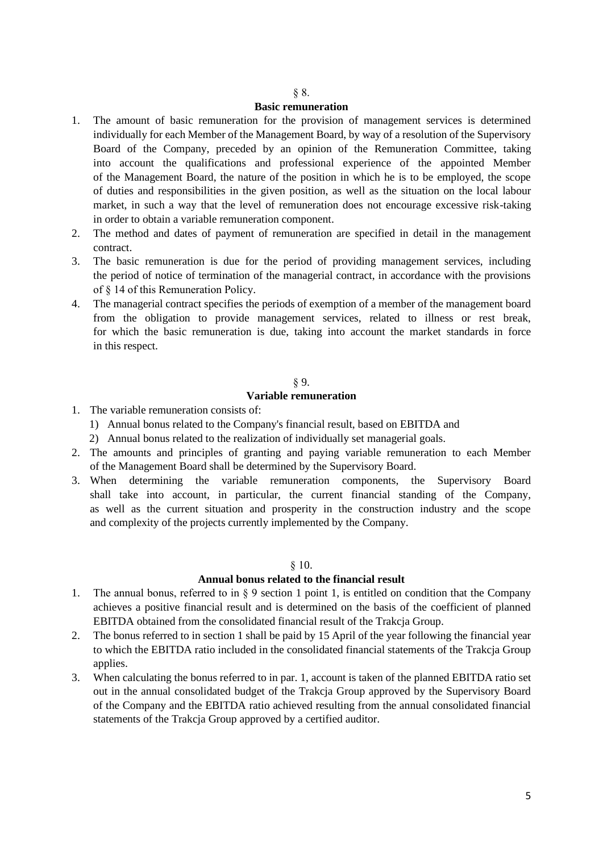#### § 8.

### **Basic remuneration**

- 1. The amount of basic remuneration for the provision of management services is determined individually for each Member of the Management Board, by way of a resolution of the Supervisory Board of the Company, preceded by an opinion of the Remuneration Committee, taking into account the qualifications and professional experience of the appointed Member of the Management Board, the nature of the position in which he is to be employed, the scope of duties and responsibilities in the given position, as well as the situation on the local labour market, in such a way that the level of remuneration does not encourage excessive risk-taking in order to obtain a variable remuneration component.
- 2. The method and dates of payment of remuneration are specified in detail in the management contract.
- 3. The basic remuneration is due for the period of providing management services, including the period of notice of termination of the managerial contract, in accordance with the provisions of § 14 of this Remuneration Policy.
- 4. The managerial contract specifies the periods of exemption of a member of the management board from the obligation to provide management services, related to illness or rest break, for which the basic remuneration is due, taking into account the market standards in force in this respect.

## § 9.

# **Variable remuneration**

- 1. The variable remuneration consists of:
	- 1) Annual bonus related to the Company's financial result, based on EBITDA and
	- 2) Annual bonus related to the realization of individually set managerial goals.
- 2. The amounts and principles of granting and paying variable remuneration to each Member of the Management Board shall be determined by the Supervisory Board.
- 3. When determining the variable remuneration components, the Supervisory Board shall take into account, in particular, the current financial standing of the Company, as well as the current situation and prosperity in the construction industry and the scope and complexity of the projects currently implemented by the Company.

### § 10.

#### **Annual bonus related to the financial result**

- 1. The annual bonus, referred to in § 9 section 1 point 1, is entitled on condition that the Company achieves a positive financial result and is determined on the basis of the coefficient of planned EBITDA obtained from the consolidated financial result of the Trakcja Group.
- 2. The bonus referred to in section 1 shall be paid by 15 April of the year following the financial year to which the EBITDA ratio included in the consolidated financial statements of the Trakcja Group applies.
- 3. When calculating the bonus referred to in par. 1, account is taken of the planned EBITDA ratio set out in the annual consolidated budget of the Trakcja Group approved by the Supervisory Board of the Company and the EBITDA ratio achieved resulting from the annual consolidated financial statements of the Trakcja Group approved by a certified auditor.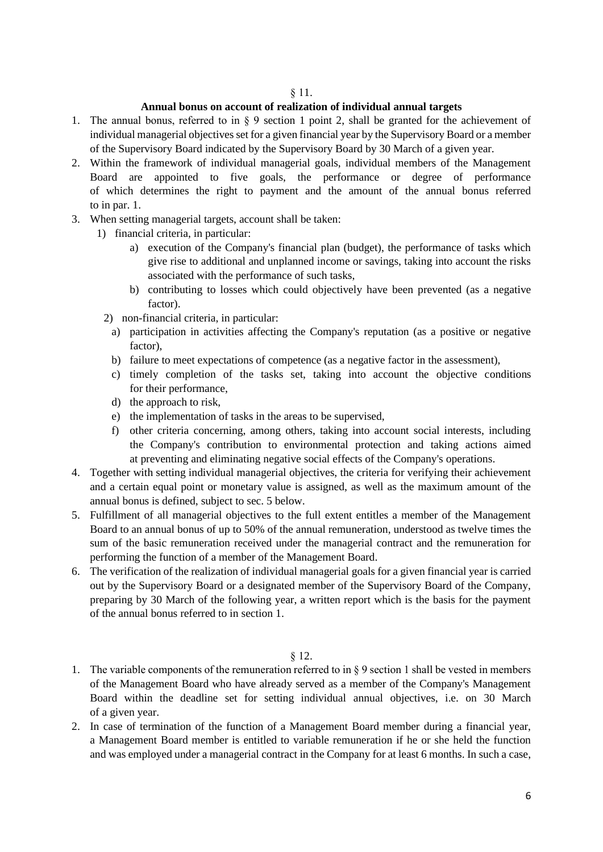### § 11.

# **Annual bonus on account of realization of individual annual targets**

- 1. The annual bonus, referred to in § 9 section 1 point 2, shall be granted for the achievement of individual managerial objectives set for a given financial year by the Supervisory Board or a member of the Supervisory Board indicated by the Supervisory Board by 30 March of a given year.
- 2. Within the framework of individual managerial goals, individual members of the Management Board are appointed to five goals, the performance or degree of performance of which determines the right to payment and the amount of the annual bonus referred to in par. 1.
- 3. When setting managerial targets, account shall be taken:
	- 1) financial criteria, in particular:
		- a) execution of the Company's financial plan (budget), the performance of tasks which give rise to additional and unplanned income or savings, taking into account the risks associated with the performance of such tasks,
		- b) contributing to losses which could objectively have been prevented (as a negative factor).
		- 2) non-financial criteria, in particular:
			- a) participation in activities affecting the Company's reputation (as a positive or negative factor),
			- b) failure to meet expectations of competence (as a negative factor in the assessment),
			- c) timely completion of the tasks set, taking into account the objective conditions for their performance,
			- d) the approach to risk,
			- e) the implementation of tasks in the areas to be supervised,
			- f) other criteria concerning, among others, taking into account social interests, including the Company's contribution to environmental protection and taking actions aimed at preventing and eliminating negative social effects of the Company's operations.
- 4. Together with setting individual managerial objectives, the criteria for verifying their achievement and a certain equal point or monetary value is assigned, as well as the maximum amount of the annual bonus is defined, subject to sec. 5 below.
- 5. Fulfillment of all managerial objectives to the full extent entitles a member of the Management Board to an annual bonus of up to 50% of the annual remuneration, understood as twelve times the sum of the basic remuneration received under the managerial contract and the remuneration for performing the function of a member of the Management Board.
- 6. The verification of the realization of individual managerial goals for a given financial year is carried out by the Supervisory Board or a designated member of the Supervisory Board of the Company, preparing by 30 March of the following year, a written report which is the basis for the payment of the annual bonus referred to in section 1.

# § 12.

- 1. The variable components of the remuneration referred to in  $\S 9$  section 1 shall be vested in members of the Management Board who have already served as a member of the Company's Management Board within the deadline set for setting individual annual objectives, i.e. on 30 March of a given year.
- 2. In case of termination of the function of a Management Board member during a financial year, a Management Board member is entitled to variable remuneration if he or she held the function and was employed under a managerial contract in the Company for at least 6 months. In such a case,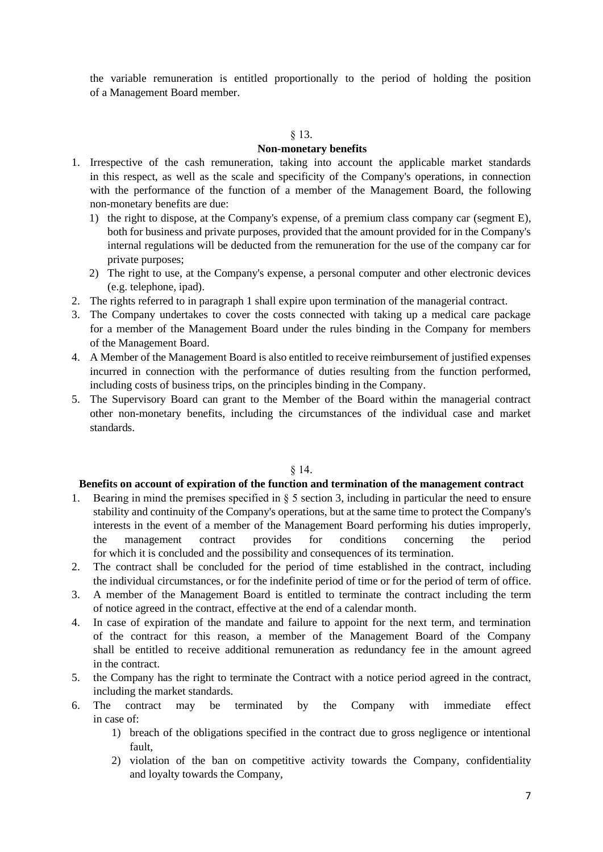the variable remuneration is entitled proportionally to the period of holding the position of a Management Board member.

### § 13.

## **Non-monetary benefits**

- 1. Irrespective of the cash remuneration, taking into account the applicable market standards in this respect, as well as the scale and specificity of the Company's operations, in connection with the performance of the function of a member of the Management Board, the following non-monetary benefits are due:
	- 1) the right to dispose, at the Company's expense, of a premium class company car (segment E), both for business and private purposes, provided that the amount provided for in the Company's internal regulations will be deducted from the remuneration for the use of the company car for private purposes;
	- 2) The right to use, at the Company's expense, a personal computer and other electronic devices (e.g. telephone, ipad).
- 2. The rights referred to in paragraph 1 shall expire upon termination of the managerial contract.
- 3. The Company undertakes to cover the costs connected with taking up a medical care package for a member of the Management Board under the rules binding in the Company for members of the Management Board.
- 4. A Member of the Management Board is also entitled to receive reimbursement of justified expenses incurred in connection with the performance of duties resulting from the function performed, including costs of business trips, on the principles binding in the Company.
- 5. The Supervisory Board can grant to the Member of the Board within the managerial contract other non-monetary benefits, including the circumstances of the individual case and market standards.

# § 14.

## **Benefits on account of expiration of the function and termination of the management contract**

- 1. Bearing in mind the premises specified in § 5 section 3, including in particular the need to ensure stability and continuity of the Company's operations, but at the same time to protect the Company's interests in the event of a member of the Management Board performing his duties improperly, the management contract provides for conditions concerning the period for which it is concluded and the possibility and consequences of its termination.
- 2. The contract shall be concluded for the period of time established in the contract, including the individual circumstances, or for the indefinite period of time or for the period of term of office.
- 3. A member of the Management Board is entitled to terminate the contract including the term of notice agreed in the contract, effective at the end of a calendar month.
- 4. In case of expiration of the mandate and failure to appoint for the next term, and termination of the contract for this reason, a member of the Management Board of the Company shall be entitled to receive additional remuneration as redundancy fee in the amount agreed in the contract.
- 5. the Company has the right to terminate the Contract with a notice period agreed in the contract, including the market standards.
- 6. The contract may be terminated by the Company with immediate effect in case of:
	- 1) breach of the obligations specified in the contract due to gross negligence or intentional fault,
	- 2) violation of the ban on competitive activity towards the Company, confidentiality and loyalty towards the Company,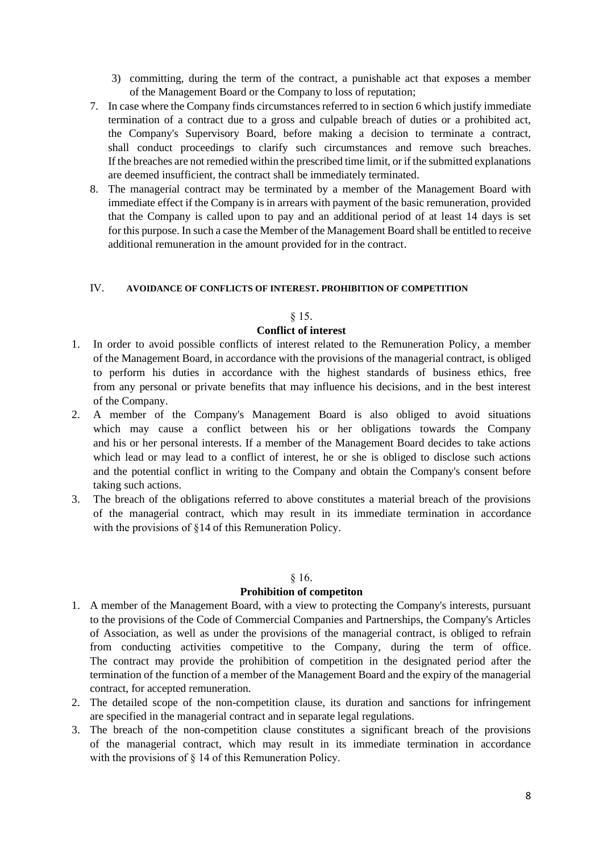- 3) committing, during the term of the contract, a punishable act that exposes a member of the Management Board or the Company to loss of reputation;
- 7. In case where the Company finds circumstances referred to in section 6 which justify immediate termination of a contract due to a gross and culpable breach of duties or a prohibited act, the Company's Supervisory Board, before making a decision to terminate a contract, shall conduct proceedings to clarify such circumstances and remove such breaches. If the breaches are not remedied within the prescribed time limit, or if the submitted explanations are deemed insufficient, the contract shall be immediately terminated.
- 8. The managerial contract may be terminated by a member of the Management Board with immediate effect if the Company is in arrears with payment of the basic remuneration, provided that the Company is called upon to pay and an additional period of at least 14 days is set for this purpose. In such a case the Member of the Management Board shall be entitled to receive additional remuneration in the amount provided for in the contract.

## IV. **AVOIDANCE OF CONFLICTS OF INTEREST. PROHIBITION OF COMPETITION**

### § 15.

# **Conflict of interest**

- 1. In order to avoid possible conflicts of interest related to the Remuneration Policy, a member of the Management Board, in accordance with the provisions of the managerial contract, is obliged to perform his duties in accordance with the highest standards of business ethics, free from any personal or private benefits that may influence his decisions, and in the best interest of the Company.
- 2. A member of the Company's Management Board is also obliged to avoid situations which may cause a conflict between his or her obligations towards the Company and his or her personal interests. If a member of the Management Board decides to take actions which lead or may lead to a conflict of interest, he or she is obliged to disclose such actions and the potential conflict in writing to the Company and obtain the Company's consent before taking such actions.
- 3. The breach of the obligations referred to above constitutes a material breach of the provisions of the managerial contract, which may result in its immediate termination in accordance with the provisions of §14 of this Remuneration Policy.

### § 16.

# **Prohibition of competiton**

- 1. A member of the Management Board, with a view to protecting the Company's interests, pursuant to the provisions of the Code of Commercial Companies and Partnerships, the Company's Articles of Association, as well as under the provisions of the managerial contract, is obliged to refrain from conducting activities competitive to the Company, during the term of office. The contract may provide the prohibition of competition in the designated period after the termination of the function of a member of the Management Board and the expiry of the managerial contract, for accepted remuneration.
- 2. The detailed scope of the non-competition clause, its duration and sanctions for infringement are specified in the managerial contract and in separate legal regulations.
- 3. The breach of the non-competition clause constitutes a significant breach of the provisions of the managerial contract, which may result in its immediate termination in accordance with the provisions of § 14 of this Remuneration Policy.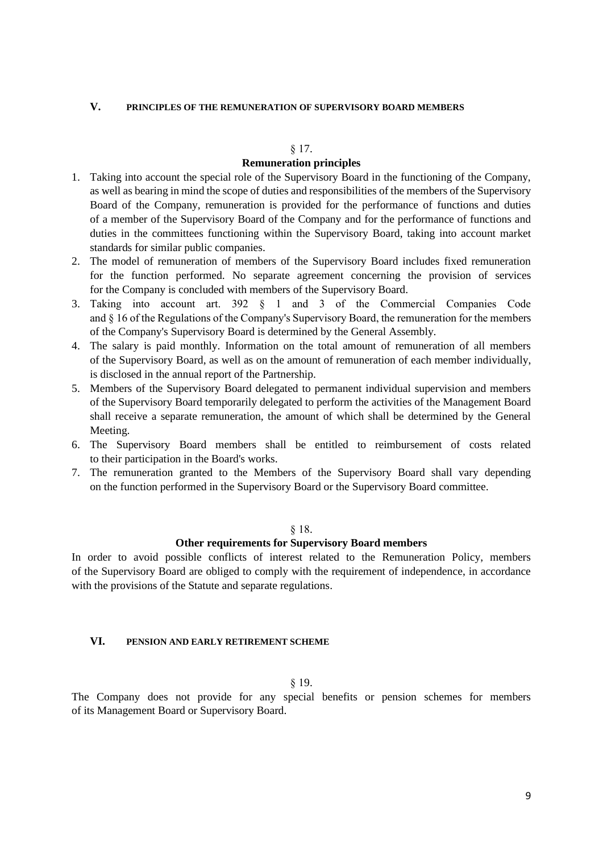## **V. PRINCIPLES OF THE REMUNERATION OF SUPERVISORY BOARD MEMBERS**

## § 17.

# **Remuneration principles**

- 1. Taking into account the special role of the Supervisory Board in the functioning of the Company, as well as bearing in mind the scope of duties and responsibilities of the members of the Supervisory Board of the Company, remuneration is provided for the performance of functions and duties of a member of the Supervisory Board of the Company and for the performance of functions and duties in the committees functioning within the Supervisory Board, taking into account market standards for similar public companies.
- 2. The model of remuneration of members of the Supervisory Board includes fixed remuneration for the function performed. No separate agreement concerning the provision of services for the Company is concluded with members of the Supervisory Board.
- 3. Taking into account art. 392 § 1 and 3 of the Commercial Companies Code and § 16 of the Regulations of the Company's Supervisory Board, the remuneration for the members of the Company's Supervisory Board is determined by the General Assembly.
- 4. The salary is paid monthly. Information on the total amount of remuneration of all members of the Supervisory Board, as well as on the amount of remuneration of each member individually, is disclosed in the annual report of the Partnership.
- 5. Members of the Supervisory Board delegated to permanent individual supervision and members of the Supervisory Board temporarily delegated to perform the activities of the Management Board shall receive a separate remuneration, the amount of which shall be determined by the General Meeting.
- 6. The Supervisory Board members shall be entitled to reimbursement of costs related to their participation in the Board's works.
- 7. The remuneration granted to the Members of the Supervisory Board shall vary depending on the function performed in the Supervisory Board or the Supervisory Board committee.

### § 18.

## **Other requirements for Supervisory Board members**

In order to avoid possible conflicts of interest related to the Remuneration Policy, members of the Supervisory Board are obliged to comply with the requirement of independence, in accordance with the provisions of the Statute and separate regulations.

# **VI. PENSION AND EARLY RETIREMENT SCHEME**

§ 19.

The Company does not provide for any special benefits or pension schemes for members of its Management Board or Supervisory Board.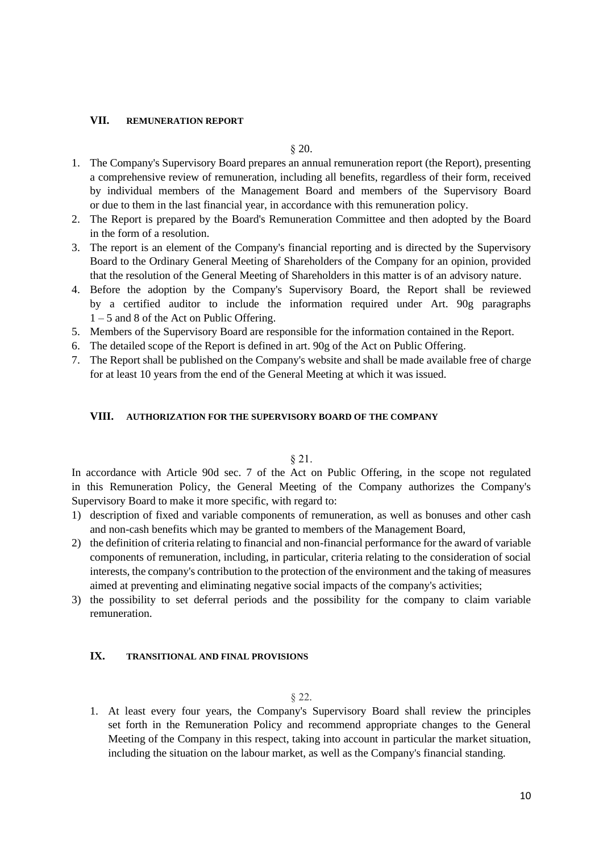## **VII. REMUNERATION REPORT**

## § 20.

- 1. The Company's Supervisory Board prepares an annual remuneration report (the Report), presenting a comprehensive review of remuneration, including all benefits, regardless of their form, received by individual members of the Management Board and members of the Supervisory Board or due to them in the last financial year, in accordance with this remuneration policy.
- 2. The Report is prepared by the Board's Remuneration Committee and then adopted by the Board in the form of a resolution.
- 3. The report is an element of the Company's financial reporting and is directed by the Supervisory Board to the Ordinary General Meeting of Shareholders of the Company for an opinion, provided that the resolution of the General Meeting of Shareholders in this matter is of an advisory nature.
- 4. Before the adoption by the Company's Supervisory Board, the Report shall be reviewed by a certified auditor to include the information required under Art. 90g paragraphs 1 – 5 and 8 of the Act on Public Offering.
- 5. Members of the Supervisory Board are responsible for the information contained in the Report.
- 6. The detailed scope of the Report is defined in art. 90g of the Act on Public Offering.
- 7. The Report shall be published on the Company's website and shall be made available free of charge for at least 10 years from the end of the General Meeting at which it was issued.

### **VIII. AUTHORIZATION FOR THE SUPERVISORY BOARD OF THE COMPANY**

### § 21.

In accordance with Article 90d sec. 7 of the Act on Public Offering, in the scope not regulated in this Remuneration Policy, the General Meeting of the Company authorizes the Company's Supervisory Board to make it more specific, with regard to:

- 1) description of fixed and variable components of remuneration, as well as bonuses and other cash and non-cash benefits which may be granted to members of the Management Board,
- 2) the definition of criteria relating to financial and non-financial performance for the award of variable components of remuneration, including, in particular, criteria relating to the consideration of social interests, the company's contribution to the protection of the environment and the taking of measures aimed at preventing and eliminating negative social impacts of the company's activities;
- 3) the possibility to set deferral periods and the possibility for the company to claim variable remuneration.

### **IX. TRANSITIONAL AND FINAL PROVISIONS**

## § 22.

1. At least every four years, the Company's Supervisory Board shall review the principles set forth in the Remuneration Policy and recommend appropriate changes to the General Meeting of the Company in this respect, taking into account in particular the market situation, including the situation on the labour market, as well as the Company's financial standing.